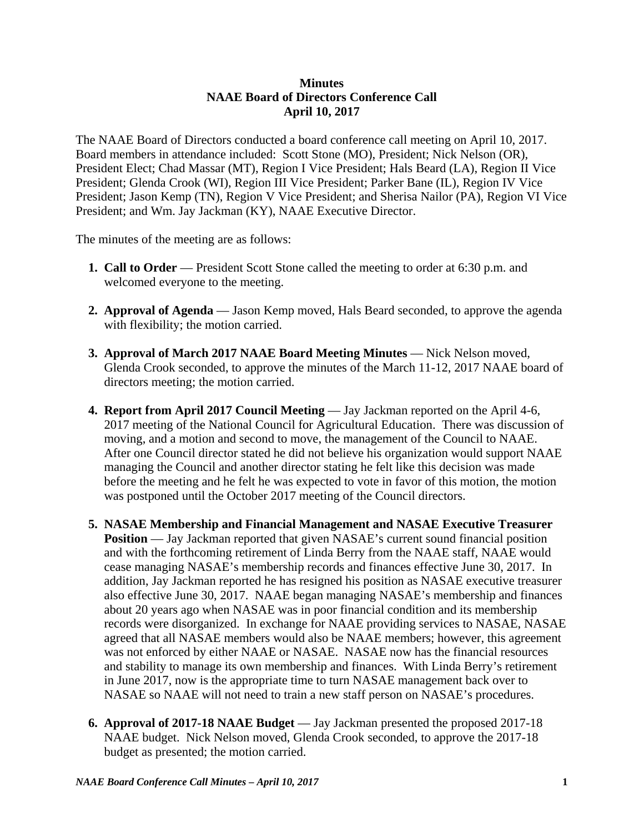## **Minutes NAAE Board of Directors Conference Call April 10, 2017**

The NAAE Board of Directors conducted a board conference call meeting on April 10, 2017. Board members in attendance included: Scott Stone (MO), President; Nick Nelson (OR), President Elect; Chad Massar (MT), Region I Vice President; Hals Beard (LA), Region II Vice President; Glenda Crook (WI), Region III Vice President; Parker Bane (IL), Region IV Vice President; Jason Kemp (TN), Region V Vice President; and Sherisa Nailor (PA), Region VI Vice President; and Wm. Jay Jackman (KY), NAAE Executive Director.

The minutes of the meeting are as follows:

- **1. Call to Order** President Scott Stone called the meeting to order at 6:30 p.m. and welcomed everyone to the meeting.
- **2. Approval of Agenda**  Jason Kemp moved, Hals Beard seconded, to approve the agenda with flexibility; the motion carried.
- **3. Approval of March 2017 NAAE Board Meeting Minutes Nick Nelson moved,** Glenda Crook seconded, to approve the minutes of the March 11-12, 2017 NAAE board of directors meeting; the motion carried.
- **4. Report from April 2017 Council Meeting Jay Jackman reported on the April 4-6,** 2017 meeting of the National Council for Agricultural Education. There was discussion of moving, and a motion and second to move, the management of the Council to NAAE. After one Council director stated he did not believe his organization would support NAAE managing the Council and another director stating he felt like this decision was made before the meeting and he felt he was expected to vote in favor of this motion, the motion was postponed until the October 2017 meeting of the Council directors.
- **5. NASAE Membership and Financial Management and NASAE Executive Treasurer Position** — Jay Jackman reported that given NASAE's current sound financial position and with the forthcoming retirement of Linda Berry from the NAAE staff, NAAE would cease managing NASAE's membership records and finances effective June 30, 2017. In addition, Jay Jackman reported he has resigned his position as NASAE executive treasurer also effective June 30, 2017. NAAE began managing NASAE's membership and finances about 20 years ago when NASAE was in poor financial condition and its membership records were disorganized. In exchange for NAAE providing services to NASAE, NASAE agreed that all NASAE members would also be NAAE members; however, this agreement was not enforced by either NAAE or NASAE. NASAE now has the financial resources and stability to manage its own membership and finances. With Linda Berry's retirement in June 2017, now is the appropriate time to turn NASAE management back over to NASAE so NAAE will not need to train a new staff person on NASAE's procedures.
- **6. Approval of 2017-18 NAAE Budget** Jay Jackman presented the proposed 2017-18 NAAE budget. Nick Nelson moved, Glenda Crook seconded, to approve the 2017-18 budget as presented; the motion carried.